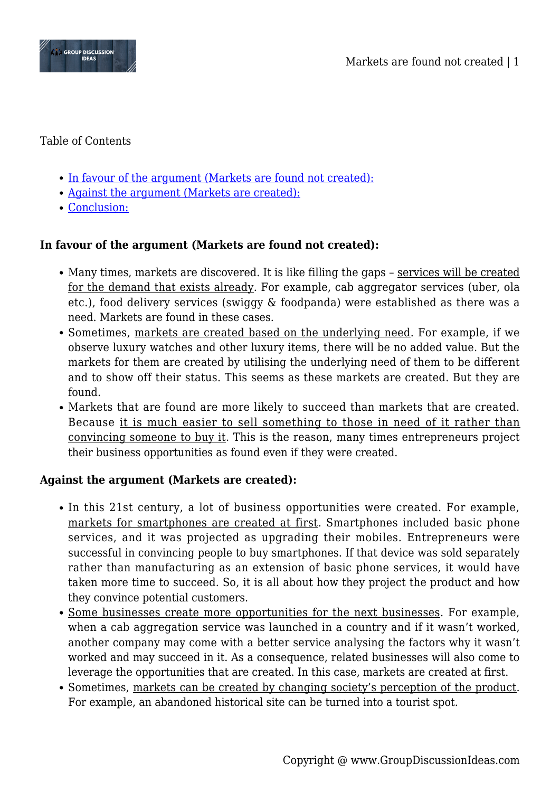

### Table of Contents

- [In favour of the argument \(Markets are found not created\):](#page--1-0)
- [Against the argument \(Markets are created\):](#page--1-0)
- [Conclusion:](#page--1-0)

# **In favour of the argument (Markets are found not created):**

- Many times, markets are discovered. It is like filling the gaps services will be created for the demand that exists already. For example, cab aggregator services (uber, ola etc.), food delivery services (swiggy & foodpanda) were established as there was a need. Markets are found in these cases.
- Sometimes, markets are created based on the underlying need. For example, if we observe luxury watches and other luxury items, there will be no added value. But the markets for them are created by utilising the underlying need of them to be different and to show off their status. This seems as these markets are created. But they are found.
- Markets that are found are more likely to succeed than markets that are created. Because it is much easier to sell something to those in need of it rather than convincing someone to buy it. This is the reason, many times entrepreneurs project their business opportunities as found even if they were created.

### **Against the argument (Markets are created):**

- In this 21st century, a lot of business opportunities were created. For example, markets for smartphones are created at first. Smartphones included basic phone services, and it was projected as upgrading their mobiles. Entrepreneurs were successful in convincing people to buy smartphones. If that device was sold separately rather than manufacturing as an extension of basic phone services, it would have taken more time to succeed. So, it is all about how they project the product and how they convince potential customers.
- Some businesses create more opportunities for the next businesses. For example, when a cab aggregation service was launched in a country and if it wasn't worked, another company may come with a better service analysing the factors why it wasn't worked and may succeed in it. As a consequence, related businesses will also come to leverage the opportunities that are created. In this case, markets are created at first.
- Sometimes, markets can be created by changing society's perception of the product. For example, an abandoned historical site can be turned into a tourist spot.